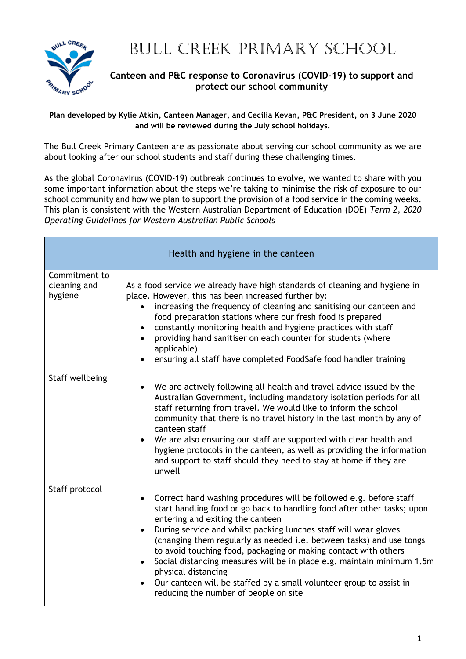

## BULL CREEK PRIMARY SCHOOL

## **Canteen and P&C response to Coronavirus (COVID-19) to support and protect our school community**

**Plan developed by Kylie Atkin, Canteen Manager, and Cecilia Kevan, P&C President, on 3 June 2020 and will be reviewed during the July school holidays.**

The Bull Creek Primary Canteen are as passionate about serving our school community as we are about looking after our school students and staff during these challenging times.

As the global Coronavirus (COVID-19) outbreak continues to evolve, we wanted to share with you some important information about the steps we're taking to minimise the risk of exposure to our school community and how we plan to support the provision of a food service in the coming weeks. This plan is consistent with the Western Australian Department of Education (DOE) *Term 2, 2020 Operating Guidelines for Western Australian Public School*s

| Health and hygiene in the canteen        |                                                                                                                                                                                                                                                                                                                                                                                                                                                                                                                                                                                                                                                          |  |
|------------------------------------------|----------------------------------------------------------------------------------------------------------------------------------------------------------------------------------------------------------------------------------------------------------------------------------------------------------------------------------------------------------------------------------------------------------------------------------------------------------------------------------------------------------------------------------------------------------------------------------------------------------------------------------------------------------|--|
| Commitment to<br>cleaning and<br>hygiene | As a food service we already have high standards of cleaning and hygiene in<br>place. However, this has been increased further by:<br>increasing the frequency of cleaning and sanitising our canteen and<br>$\bullet$<br>food preparation stations where our fresh food is prepared<br>constantly monitoring health and hygiene practices with staff<br>$\bullet$<br>providing hand sanitiser on each counter for students (where<br>applicable)<br>ensuring all staff have completed FoodSafe food handler training                                                                                                                                    |  |
| Staff wellbeing                          | We are actively following all health and travel advice issued by the<br>$\bullet$<br>Australian Government, including mandatory isolation periods for all<br>staff returning from travel. We would like to inform the school<br>community that there is no travel history in the last month by any of<br>canteen staff<br>We are also ensuring our staff are supported with clear health and<br>hygiene protocols in the canteen, as well as providing the information<br>and support to staff should they need to stay at home if they are<br>unwell                                                                                                    |  |
| Staff protocol                           | Correct hand washing procedures will be followed e.g. before staff<br>$\bullet$<br>start handling food or go back to handling food after other tasks; upon<br>entering and exiting the canteen<br>During service and whilst packing lunches staff will wear gloves<br>$\bullet$<br>(changing them regularly as needed i.e. between tasks) and use tongs<br>to avoid touching food, packaging or making contact with others<br>Social distancing measures will be in place e.g. maintain minimum 1.5m<br>physical distancing<br>Our canteen will be staffed by a small volunteer group to assist in<br>$\bullet$<br>reducing the number of people on site |  |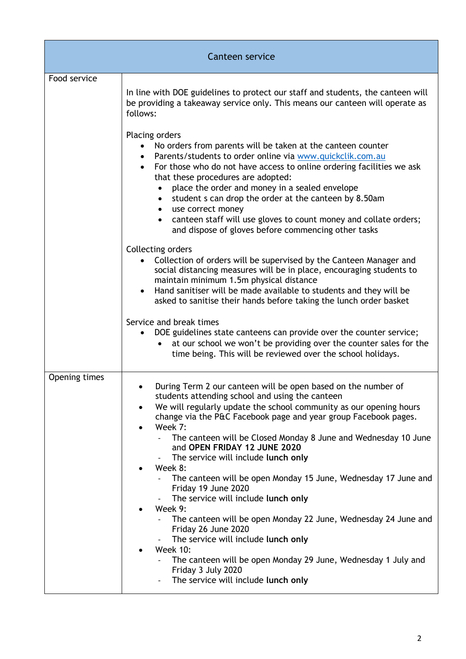| Canteen service |                                                                                                                                                                                                                                                                                                                                                                                                                                                                                                                                                                                                                                                                                                                                                                                                                                                  |  |
|-----------------|--------------------------------------------------------------------------------------------------------------------------------------------------------------------------------------------------------------------------------------------------------------------------------------------------------------------------------------------------------------------------------------------------------------------------------------------------------------------------------------------------------------------------------------------------------------------------------------------------------------------------------------------------------------------------------------------------------------------------------------------------------------------------------------------------------------------------------------------------|--|
| Food service    | In line with DOE guidelines to protect our staff and students, the canteen will<br>be providing a takeaway service only. This means our canteen will operate as                                                                                                                                                                                                                                                                                                                                                                                                                                                                                                                                                                                                                                                                                  |  |
|                 | follows:<br>Placing orders<br>No orders from parents will be taken at the canteen counter<br>Parents/students to order online via www.quickclik.com.au<br>For those who do not have access to online ordering facilities we ask<br>that these procedures are adopted:<br>place the order and money in a sealed envelope<br>$\bullet$<br>student s can drop the order at the canteen by 8.50am<br>$\bullet$<br>use correct money<br>$\bullet$<br>canteen staff will use gloves to count money and collate orders;<br>$\bullet$<br>and dispose of gloves before commencing other tasks                                                                                                                                                                                                                                                             |  |
|                 | Collecting orders<br>Collection of orders will be supervised by the Canteen Manager and<br>social distancing measures will be in place, encouraging students to<br>maintain minimum 1.5m physical distance<br>Hand sanitiser will be made available to students and they will be<br>asked to sanitise their hands before taking the lunch order basket<br>Service and break times<br>DOE guidelines state canteens can provide over the counter service;<br>at our school we won't be providing over the counter sales for the<br>time being. This will be reviewed over the school holidays.                                                                                                                                                                                                                                                    |  |
| Opening times   | During Term 2 our canteen will be open based on the number of<br>students attending school and using the canteen<br>We will regularly update the school community as our opening hours<br>$\bullet$<br>change via the P&C Facebook page and year group Facebook pages.<br>Week 7:<br>$\bullet$<br>The canteen will be Closed Monday 8 June and Wednesday 10 June<br>and OPEN FRIDAY 12 JUNE 2020<br>The service will include lunch only<br>Week 8:<br>$\bullet$<br>The canteen will be open Monday 15 June, Wednesday 17 June and<br>Friday 19 June 2020<br>The service will include lunch only<br>Week 9:<br>$\bullet$<br>The canteen will be open Monday 22 June, Wednesday 24 June and<br>Friday 26 June 2020<br>The service will include lunch only<br><b>Week 10:</b><br>٠<br>The canteen will be open Monday 29 June, Wednesday 1 July and |  |
|                 | Friday 3 July 2020<br>The service will include lunch only                                                                                                                                                                                                                                                                                                                                                                                                                                                                                                                                                                                                                                                                                                                                                                                        |  |